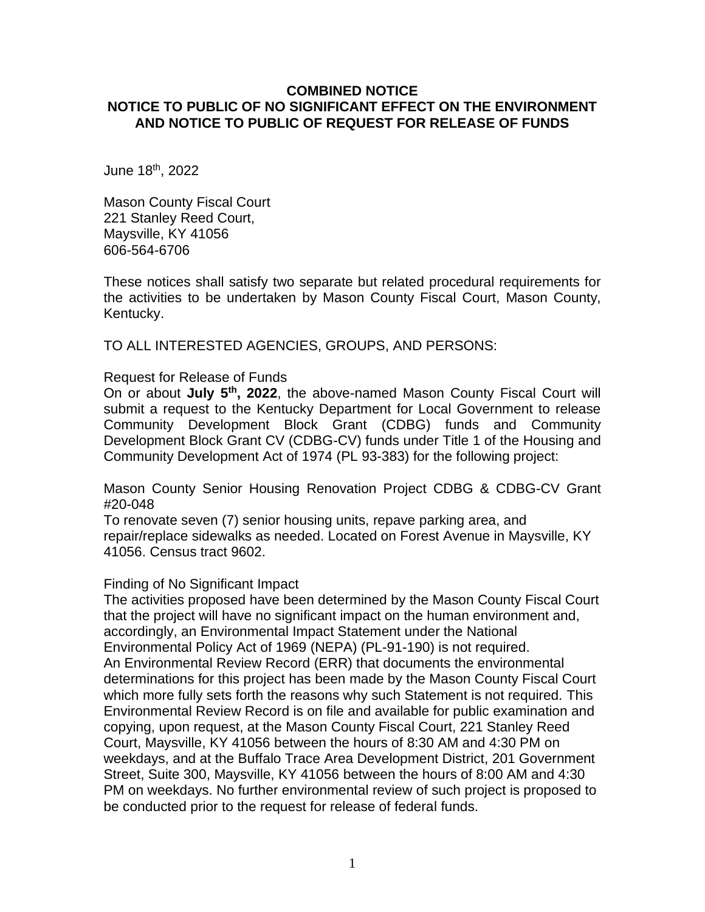## **COMBINED NOTICE NOTICE TO PUBLIC OF NO SIGNIFICANT EFFECT ON THE ENVIRONMENT AND NOTICE TO PUBLIC OF REQUEST FOR RELEASE OF FUNDS**

June 18th, 2022

Mason County Fiscal Court 221 Stanley Reed Court, Maysville, KY 41056 606-564-6706

These notices shall satisfy two separate but related procedural requirements for the activities to be undertaken by Mason County Fiscal Court, Mason County, Kentucky.

TO ALL INTERESTED AGENCIES, GROUPS, AND PERSONS:

Request for Release of Funds

On or about **July 5 th, 2022**, the above-named Mason County Fiscal Court will submit a request to the Kentucky Department for Local Government to release Community Development Block Grant (CDBG) funds and Community Development Block Grant CV (CDBG-CV) funds under Title 1 of the Housing and Community Development Act of 1974 (PL 93-383) for the following project:

Mason County Senior Housing Renovation Project CDBG & CDBG-CV Grant #20-048

To renovate seven (7) senior housing units, repave parking area, and repair/replace sidewalks as needed. Located on Forest Avenue in Maysville, KY 41056. Census tract 9602.

#### Finding of No Significant Impact

The activities proposed have been determined by the Mason County Fiscal Court that the project will have no significant impact on the human environment and, accordingly, an Environmental Impact Statement under the National Environmental Policy Act of 1969 (NEPA) (PL-91-190) is not required. An Environmental Review Record (ERR) that documents the environmental determinations for this project has been made by the Mason County Fiscal Court which more fully sets forth the reasons why such Statement is not required. This Environmental Review Record is on file and available for public examination and copying, upon request, at the Mason County Fiscal Court, 221 Stanley Reed Court, Maysville, KY 41056 between the hours of 8:30 AM and 4:30 PM on weekdays, and at the Buffalo Trace Area Development District, 201 Government Street, Suite 300, Maysville, KY 41056 between the hours of 8:00 AM and 4:30 PM on weekdays. No further environmental review of such project is proposed to be conducted prior to the request for release of federal funds.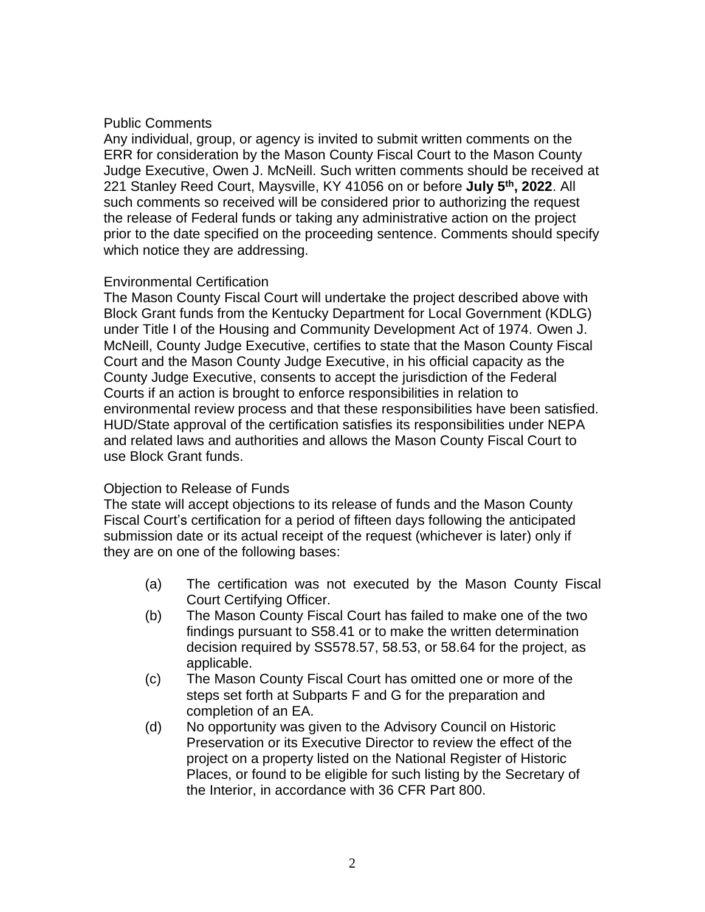## Public Comments

Any individual, group, or agency is invited to submit written comments on the ERR for consideration by the Mason County Fiscal Court to the Mason County Judge Executive, Owen J. McNeill. Such written comments should be received at 221 Stanley Reed Court, Maysville, KY 41056 on or before **July 5th, 2022**. All such comments so received will be considered prior to authorizing the request the release of Federal funds or taking any administrative action on the project prior to the date specified on the proceeding sentence. Comments should specify which notice they are addressing.

## Environmental Certification

The Mason County Fiscal Court will undertake the project described above with Block Grant funds from the Kentucky Department for Local Government (KDLG) under Title I of the Housing and Community Development Act of 1974. Owen J. McNeill, County Judge Executive, certifies to state that the Mason County Fiscal Court and the Mason County Judge Executive, in his official capacity as the County Judge Executive, consents to accept the jurisdiction of the Federal Courts if an action is brought to enforce responsibilities in relation to environmental review process and that these responsibilities have been satisfied. HUD/State approval of the certification satisfies its responsibilities under NEPA and related laws and authorities and allows the Mason County Fiscal Court to use Block Grant funds.

# Objection to Release of Funds

The state will accept objections to its release of funds and the Mason County Fiscal Court's certification for a period of fifteen days following the anticipated submission date or its actual receipt of the request (whichever is later) only if they are on one of the following bases:

- (a) The certification was not executed by the Mason County Fiscal Court Certifying Officer.
- (b) The Mason County Fiscal Court has failed to make one of the two findings pursuant to S58.41 or to make the written determination decision required by SS578.57, 58.53, or 58.64 for the project, as applicable.
- (c) The Mason County Fiscal Court has omitted one or more of the steps set forth at Subparts F and G for the preparation and completion of an EA.
- (d) No opportunity was given to the Advisory Council on Historic Preservation or its Executive Director to review the effect of the project on a property listed on the National Register of Historic Places, or found to be eligible for such listing by the Secretary of the Interior, in accordance with 36 CFR Part 800.